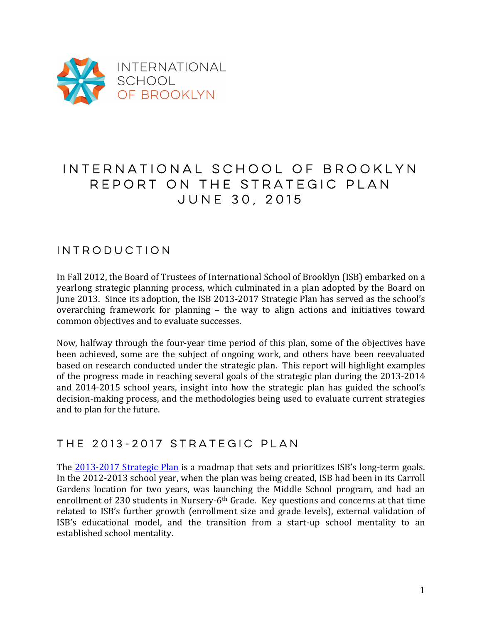

# INTERNATIONAL SCHOOL OF BROOKLYN REPORT ON THE STRATEGIC PLAN JUNE 30, 2015

### Introduction

In Fall 2012, the Board of Trustees of International School of Brooklyn (ISB) embarked on a yearlong strategic planning process, which culminated in a plan adopted by the Board on June 2013. Since its adoption, the ISB 2013-2017 Strategic Plan has served as the school's overarching framework for planning - the way to align actions and initiatives toward common objectives and to evaluate successes.

Now, halfway through the four-year time period of this plan, some of the objectives have been achieved, some are the subject of ongoing work, and others have been reevaluated based on research conducted under the strategic plan. This report will highlight examples of the progress made in reaching several goals of the strategic plan during the 2013-2014 and 2014-2015 school vears, insight into how the strategic plan has guided the school's decision-making process, and the methodologies being used to evaluate current strategies and to plan for the future.

#### The 2013-2017 Strategic Plan

The 2013-2017 Strategic Plan is a roadmap that sets and prioritizes ISB's long-term goals. In the 2012-2013 school year, when the plan was being created, ISB had been in its Carroll Gardens location for two years, was launching the Middle School program, and had an enrollment of 230 students in Nursery-6<sup>th</sup> Grade. Key questions and concerns at that time related to ISB's further growth (enrollment size and grade levels), external validation of ISB's educational model, and the transition from a start-up school mentality to an established school mentality.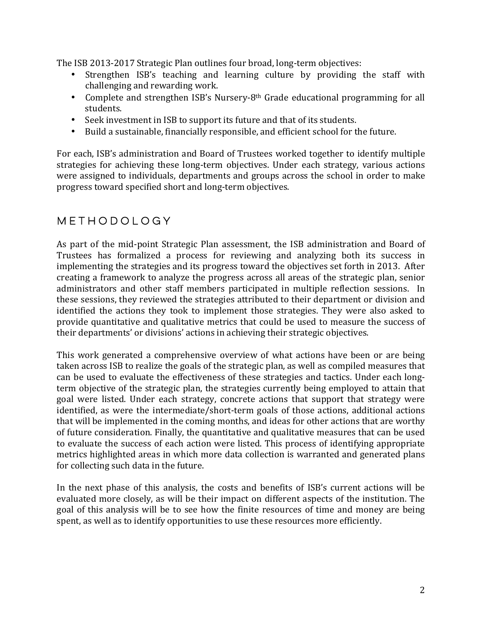The ISB 2013-2017 Strategic Plan outlines four broad, long-term objectives:

- Strengthen ISB's teaching and learning culture by providing the staff with challenging and rewarding work.
- Complete and strengthen ISB's Nursery-8<sup>th</sup> Grade educational programming for all students.
- Seek investment in ISB to support its future and that of its students.
- Build a sustainable, financially responsible, and efficient school for the future.

For each, ISB's administration and Board of Trustees worked together to identify multiple strategies for achieving these long-term objectives. Under each strategy, various actions were assigned to individuals, departments and groups across the school in order to make progress toward specified short and long-term objectives.

#### Methodology

As part of the mid-point Strategic Plan assessment, the ISB administration and Board of Trustees has formalized a process for reviewing and analyzing both its success in implementing the strategies and its progress toward the objectives set forth in 2013. After creating a framework to analyze the progress across all areas of the strategic plan, senior administrators and other staff members participated in multiple reflection sessions. In these sessions, they reviewed the strategies attributed to their department or division and identified the actions they took to implement those strategies. They were also asked to provide quantitative and qualitative metrics that could be used to measure the success of their departments' or divisions' actions in achieving their strategic objectives.

This work generated a comprehensive overview of what actions have been or are being taken across ISB to realize the goals of the strategic plan, as well as compiled measures that can be used to evaluate the effectiveness of these strategies and tactics. Under each longterm objective of the strategic plan, the strategies currently being employed to attain that goal were listed. Under each strategy, concrete actions that support that strategy were identified, as were the intermediate/short-term goals of those actions, additional actions that will be implemented in the coming months, and ideas for other actions that are worthy of future consideration. Finally, the quantitative and qualitative measures that can be used to evaluate the success of each action were listed. This process of identifying appropriate metrics highlighted areas in which more data collection is warranted and generated plans for collecting such data in the future.

In the next phase of this analysis, the costs and benefits of ISB's current actions will be evaluated more closely, as will be their impact on different aspects of the institution. The goal of this analysis will be to see how the finite resources of time and money are being spent, as well as to identify opportunities to use these resources more efficiently.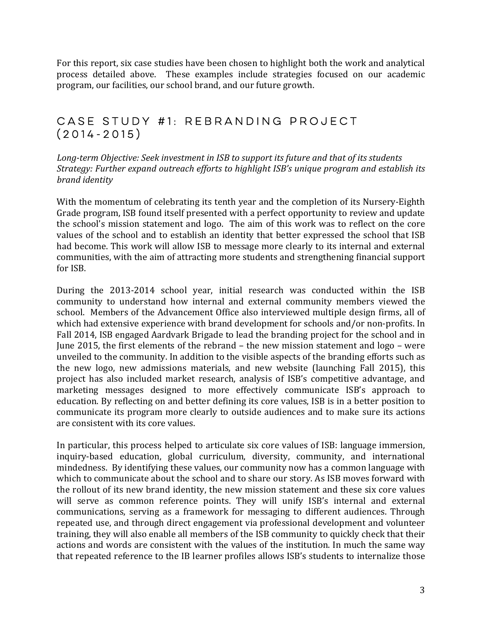For this report, six case studies have been chosen to highlight both the work and analytical process detailed above. These examples include strategies focused on our academic program, our facilities, our school brand, and our future growth.

#### Case Study #1: Rebranding Project (2014-2015)

Long-term Objective: Seek investment in ISB to support its future and that of its students *Strategy:* Further expand outreach efforts to highlight ISB's unique program and establish its *brand identity* 

With the momentum of celebrating its tenth year and the completion of its Nursery-Eighth Grade program, ISB found itself presented with a perfect opportunity to review and update the school's mission statement and logo. The aim of this work was to reflect on the core values of the school and to establish an identity that better expressed the school that ISB had become. This work will allow ISB to message more clearly to its internal and external communities, with the aim of attracting more students and strengthening financial support for ISB.

During the 2013-2014 school year, initial research was conducted within the ISB community to understand how internal and external community members viewed the school. Members of the Advancement Office also interviewed multiple design firms, all of which had extensive experience with brand development for schools and/or non-profits. In Fall 2014, ISB engaged Aardvark Brigade to lead the branding project for the school and in June 2015, the first elements of the rebrand  $-$  the new mission statement and  $logo -$  were unveiled to the community. In addition to the visible aspects of the branding efforts such as the new logo, new admissions materials, and new website (launching Fall 2015), this project has also included market research, analysis of ISB's competitive advantage, and marketing messages designed to more effectively communicate ISB's approach to education. By reflecting on and better defining its core values, ISB is in a better position to communicate its program more clearly to outside audiences and to make sure its actions are consistent with its core values.

In particular, this process helped to articulate six core values of ISB: language immersion, inquiry-based education, global curriculum, diversity, community, and international mindedness. By identifying these values, our community now has a common language with which to communicate about the school and to share our story. As ISB moves forward with the rollout of its new brand identity, the new mission statement and these six core values will serve as common reference points. They will unify ISB's internal and external communications, serving as a framework for messaging to different audiences. Through repeated use, and through direct engagement via professional development and volunteer training, they will also enable all members of the ISB community to quickly check that their actions and words are consistent with the values of the institution. In much the same way that repeated reference to the IB learner profiles allows ISB's students to internalize those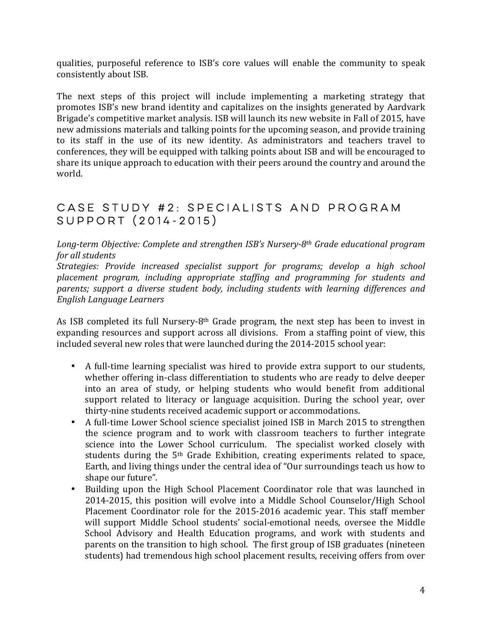qualities, purposeful reference to ISB's core values will enable the community to speak consistently about ISB.

The next steps of this project will include implementing a marketing strategy that promotes ISB's new brand identity and capitalizes on the insights generated by Aardvark Brigade's competitive market analysis. ISB will launch its new website in Fall of 2015, have new admissions materials and talking points for the upcoming season, and provide training to its staff in the use of its new identity. As administrators and teachers travel to conferences, they will be equipped with talking points about ISB and will be encouraged to share its unique approach to education with their peers around the country and around the world. 

### Case Study #2: Specialists and Program Support (2014-2015)

Long-term Objective: Complete and strengthen ISB's Nursery-8<sup>th</sup> Grade educational program *for all students* 

Strategies: Provide increased specialist support for programs; develop a high school placement program, including appropriate staffing and programming for students and parents; support a diverse student body, including students with learning differences and *English Language Learners* 

As ISB completed its full Nursery-8<sup>th</sup> Grade program, the next step has been to invest in expanding resources and support across all divisions. From a staffing point of view, this included several new roles that were launched during the 2014-2015 school year:

- A full-time learning specialist was hired to provide extra support to our students, whether offering in-class differentiation to students who are ready to delve deeper into an area of study, or helping students who would benefit from additional support related to literacy or language acquisition. During the school year, over thirty-nine students received academic support or accommodations.
- A full-time Lower School science specialist joined ISB in March 2015 to strengthen the science program and to work with classroom teachers to further integrate science into the Lower School curriculum. The specialist worked closely with students during the  $5<sup>th</sup>$  Grade Exhibition, creating experiments related to space, Earth, and living things under the central idea of "Our surroundings teach us how to shape our future".
- Building upon the High School Placement Coordinator role that was launched in 2014-2015, this position will evolve into a Middle School Counselor/High School Placement Coordinator role for the 2015-2016 academic year. This staff member will support Middle School students' social-emotional needs, oversee the Middle School Advisory and Health Education programs, and work with students and parents on the transition to high school. The first group of ISB graduates (nineteen students) had tremendous high school placement results, receiving offers from over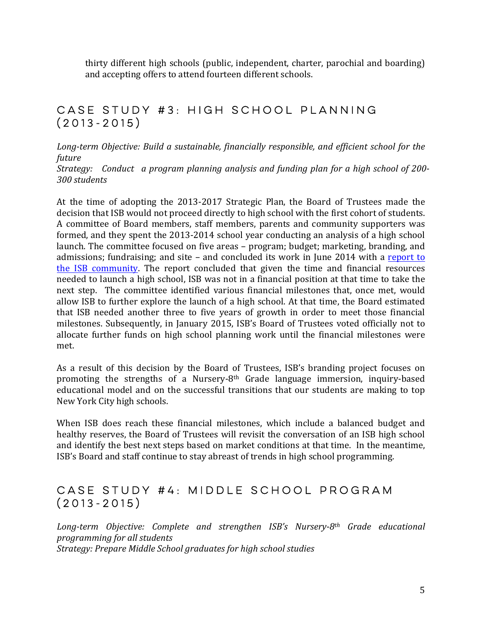thirty different high schools (public, independent, charter, parochial and boarding) and accepting offers to attend fourteen different schools.

### Case Study #3: High School Planning (2013-2015)

Long-term Objective: Build a sustainable, financially responsible, and efficient school for the *future*

*Strategy:* Conduct a program planning analysis and funding plan for a high school of 200-*300 students* 

At the time of adopting the 2013-2017 Strategic Plan, the Board of Trustees made the decision that ISB would not proceed directly to high school with the first cohort of students. A committee of Board members, staff members, parents and community supporters was formed, and they spent the 2013-2014 school year conducting an analysis of a high school launch. The committee focused on five areas – program; budget; marketing, branding, and admissions; fundraising; and site – and concluded its work in June 2014 with a report to the ISB community. The report concluded that given the time and financial resources needed to launch a high school, ISB was not in a financial position at that time to take the next step. The committee identified various financial milestones that, once met, would allow ISB to further explore the launch of a high school. At that time, the Board estimated that ISB needed another three to five years of growth in order to meet those financial milestones. Subsequently, in January 2015, ISB's Board of Trustees voted officially not to allocate further funds on high school planning work until the financial milestones were met. 

As a result of this decision by the Board of Trustees, ISB's branding project focuses on promoting the strengths of a Nursery-8<sup>th</sup> Grade language immersion, inquiry-based educational model and on the successful transitions that our students are making to top New York City high schools.

When ISB does reach these financial milestones, which include a balanced budget and healthy reserves, the Board of Trustees will revisit the conversation of an ISB high school and identify the best next steps based on market conditions at that time. In the meantime, ISB's Board and staff continue to stay abreast of trends in high school programming.

#### Case Study #4: Middle School Program (2013-2015)

Long-term Objective: Complete and strengthen ISB's Nursery-8<sup>th</sup> Grade educational *programming for all students* Strategy: Prepare Middle School graduates for high school studies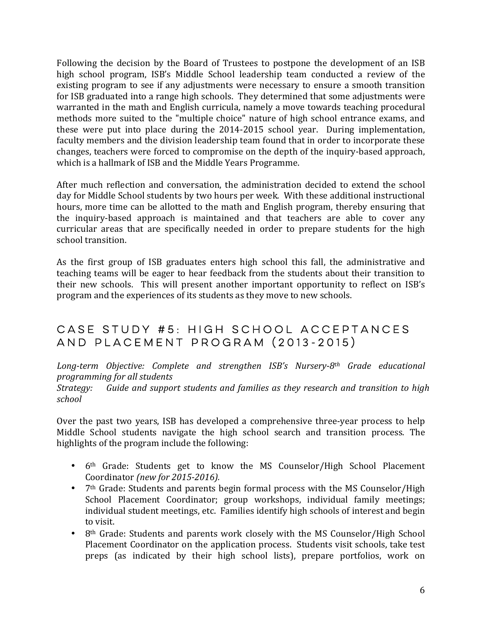Following the decision by the Board of Trustees to postpone the development of an ISB high school program, ISB's Middle School leadership team conducted a review of the existing program to see if any adjustments were necessary to ensure a smooth transition for ISB graduated into a range high schools. They determined that some adjustments were warranted in the math and English curricula, namely a move towards teaching procedural methods more suited to the "multiple choice" nature of high school entrance exams, and these were put into place during the 2014-2015 school year. During implementation, faculty members and the division leadership team found that in order to incorporate these changes, teachers were forced to compromise on the depth of the inquiry-based approach, which is a hallmark of ISB and the Middle Years Programme.

After much reflection and conversation, the administration decided to extend the school day for Middle School students by two hours per week. With these additional instructional hours, more time can be allotted to the math and English program, thereby ensuring that the inquiry-based approach is maintained and that teachers are able to cover any curricular areas that are specifically needed in order to prepare students for the high school transition.

As the first group of ISB graduates enters high school this fall, the administrative and teaching teams will be eager to hear feedback from the students about their transition to their new schools. This will present another important opportunity to reflect on ISB's program and the experiences of its students as they move to new schools.

### Case Study #5: High School Acceptances and Placement Program (2013-2015)

Long-term Objective: Complete and strengthen ISB's Nursery-8<sup>th</sup> Grade educational *programming for all students*

*Strategy:* Guide and support students and families as they research and transition to high *school*

Over the past two years, ISB has developed a comprehensive three-year process to help Middle School students navigate the high school search and transition process. The highlights of the program include the following:

- 6<sup>th</sup> Grade: Students get to know the MS Counselor/High School Placement Coordinator *(new for 2015-2016).*
- 7<sup>th</sup> Grade: Students and parents begin formal process with the MS Counselor/High School Placement Coordinator; group workshops, individual family meetings; individual student meetings, etc. Families identify high schools of interest and begin to visit.
- 8<sup>th</sup> Grade: Students and parents work closely with the MS Counselor/High School Placement Coordinator on the application process. Students visit schools, take test preps (as indicated by their high school lists), prepare portfolios, work on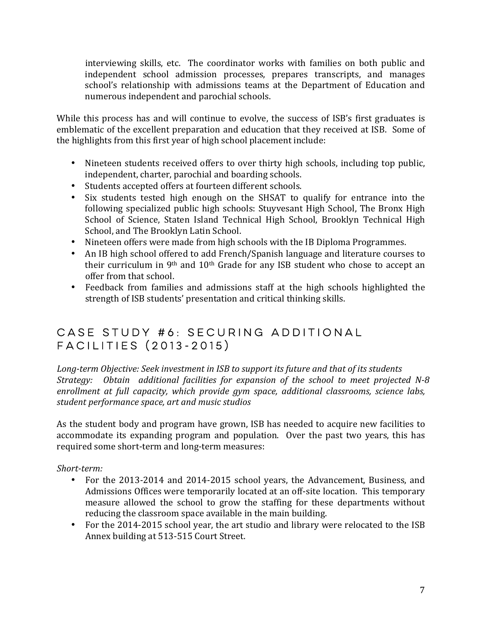interviewing skills, etc. The coordinator works with families on both public and independent school admission processes, prepares transcripts, and manages school's relationship with admissions teams at the Department of Education and numerous independent and parochial schools.

While this process has and will continue to evolve, the success of ISB's first graduates is emblematic of the excellent preparation and education that they received at ISB. Some of the highlights from this first year of high school placement include:

- Nineteen students received offers to over thirty high schools, including top public, independent, charter, parochial and boarding schools.
- Students accepted offers at fourteen different schools.
- Six students tested high enough on the SHSAT to qualify for entrance into the following specialized public high schools: Stuyvesant High School, The Bronx High School of Science, Staten Island Technical High School, Brooklyn Technical High School, and The Brooklyn Latin School.
- Nineteen offers were made from high schools with the IB Diploma Programmes.
- An IB high school offered to add French/Spanish language and literature courses to their curriculum in  $9<sup>th</sup>$  and  $10<sup>th</sup>$  Grade for any ISB student who chose to accept an offer from that school.
- Feedback from families and admissions staff at the high schools highlighted the strength of ISB students' presentation and critical thinking skills.

### Case Study #6: Securing Additional Facilities (2013-2015)

Long-term Objective: Seek investment in ISB to support its future and that of its students *Strategy:* Obtain additional facilities for expansion of the school to meet projected N-8 *enrollment at full capacity, which provide gym space, additional classrooms, science labs,* student performance space, art and music studios

As the student body and program have grown, ISB has needed to acquire new facilities to accommodate its expanding program and population. Over the past two years, this has required some short-term and long-term measures:

*Short-term:* 

- For the 2013-2014 and 2014-2015 school years, the Advancement, Business, and Admissions Offices were temporarily located at an off-site location. This temporary measure allowed the school to grow the staffing for these departments without reducing the classroom space available in the main building.
- For the 2014-2015 school year, the art studio and library were relocated to the ISB Annex building at 513-515 Court Street.